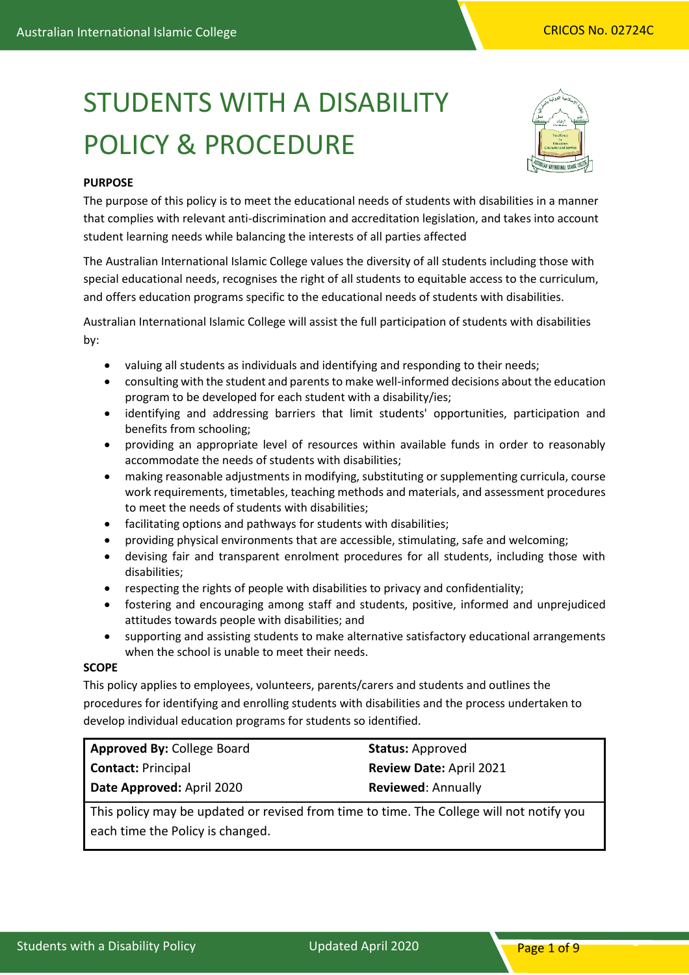# STUDENTS WITH A DISABILITY POLICY & PROCEDURE



## **PURPOSE**

The purpose of this policy is to meet the educational needs of students with disabilities in a manner that complies with relevant anti-discrimination and accreditation legislation, and takes into account student learning needs while balancing the interests of all parties affected

The Australian International Islamic College values the diversity of all students including those with special educational needs, recognises the right of all students to equitable access to the curriculum, and offers education programs specific to the educational needs of students with disabilities.

Australian International Islamic College will assist the full participation of students with disabilities by:

- valuing all students as individuals and identifying and responding to their needs;
- consulting with the student and parents to make well-informed decisions about the education program to be developed for each student with a disability/ies;
- identifying and addressing barriers that limit students' opportunities, participation and benefits from schooling;
- providing an appropriate level of resources within available funds in order to reasonably accommodate the needs of students with disabilities;
- making reasonable adjustments in modifying, substituting or supplementing curricula, course work requirements, timetables, teaching methods and materials, and assessment procedures to meet the needs of students with disabilities;
- facilitating options and pathways for students with disabilities;
- providing physical environments that are accessible, stimulating, safe and welcoming;
- devising fair and transparent enrolment procedures for all students, including those with disabilities;
- respecting the rights of people with disabilities to privacy and confidentiality;
- fostering and encouraging among staff and students, positive, informed and unprejudiced attitudes towards people with disabilities; and
- supporting and assisting students to make alternative satisfactory educational arrangements when the school is unable to meet their needs.

## **SCOPE**

This policy applies to employees, volunteers, parents/carers and students and outlines the procedures for identifying and enrolling students with disabilities and the process undertaken to develop individual education programs for students so identified.

| <b>Approved By: College Board</b> | <b>Status: Approved</b>        |
|-----------------------------------|--------------------------------|
| <b>Contact: Principal</b>         | <b>Review Date: April 2021</b> |
| Date Approved: April 2020         | <b>Reviewed: Annually</b>      |

This policy may be updated or revised from time to time. The College will not notify you each time the Policy is changed.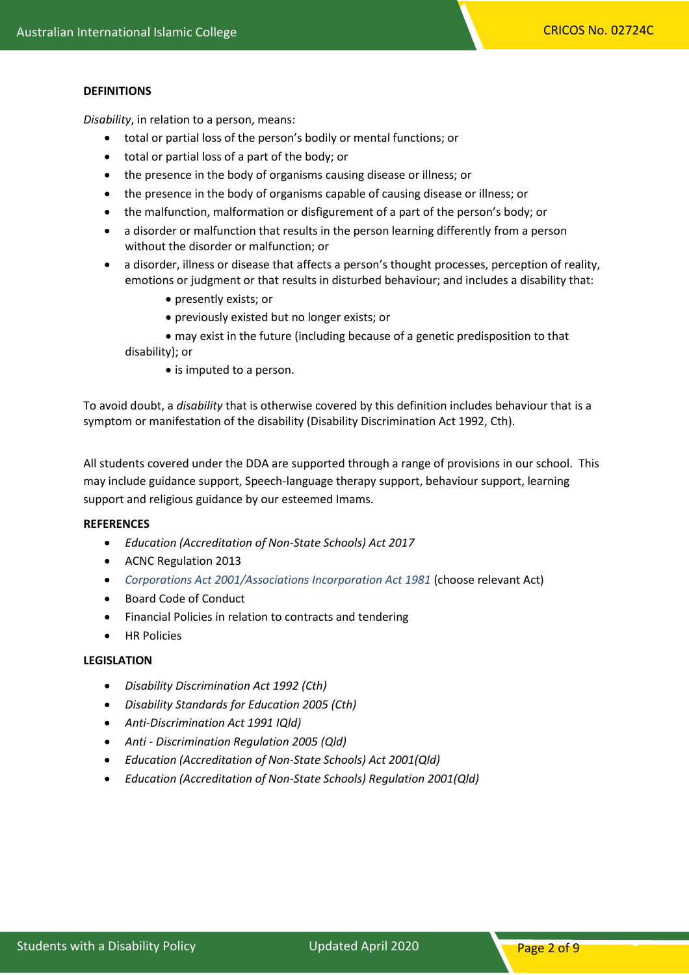#### **DEFINITIONS**

*Disability*, in relation to a person, means:

- total or partial loss of the person's bodily or mental functions; or
- total or partial loss of a part of the body; or
- the presence in the body of organisms causing disease or illness; or
- the presence in the body of organisms capable of causing disease or illness; or
- the malfunction, malformation or disfigurement of a part of the person's body; or
- a disorder or malfunction that results in the person learning differently from a person without the disorder or malfunction; or
- a disorder, illness or disease that affects a person's thought processes, perception of reality, emotions or judgment or that results in disturbed behaviour; and includes a disability that:
	- presently exists; or
	- previously existed but no longer exists; or
	- may exist in the future (including because of a genetic predisposition to that disability); or
		- is imputed to a person.

To avoid doubt, a *disability* that is otherwise covered by this definition includes behaviour that is a symptom or manifestation of the disability (Disability Discrimination Act 1992, Cth).

All students covered under the DDA are supported through a range of provisions in our school. This may include guidance support, Speech-language therapy support, behaviour support, learning support and religious guidance by our esteemed Imams.

## **REFERENCES**

- *Education (Accreditation of Non-State Schools) Act 2017*
- ACNC Regulation 2013
- *Corporations Act 2001/Associations Incorporation Act 1981* (choose relevant Act)
- Board Code of Conduct
- Financial Policies in relation to contracts and tendering
- HR Policies

### **LEGISLATION**

- *Disability Discrimination Act 1992 (Cth)*
- *Disability Standards for Education 2005 (Cth)*
- *Anti-Discrimination Act 1991 IQld)*
- *Anti - Discrimination Regulation 2005 (Qld)*
- *Education (Accreditation of Non-State Schools) Act 2001(Qld)*
- *Education (Accreditation of Non-State Schools) Regulation 2001(Qld)*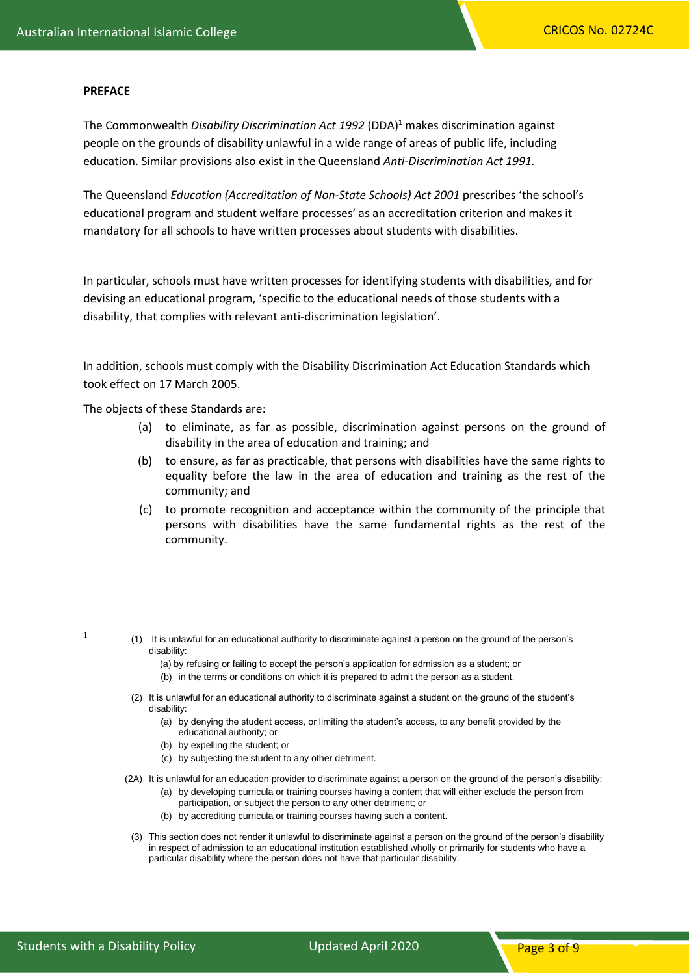#### **PREFACE**

The Commonwealth *Disability Discrimination Act 1992* (DDA)<sup>1</sup> makes discrimination against people on the grounds of disability unlawful in a wide range of areas of public life, including education. Similar provisions also exist in the Queensland *Anti-Discrimination Act 1991.*

The Queensland *Education (Accreditation of Non-State Schools) Act 2001* prescribes 'the school's educational program and student welfare processes' as an accreditation criterion and makes it mandatory for all schools to have written processes about students with disabilities.

In particular, schools must have written processes for identifying students with disabilities, and for devising an educational program, 'specific to the educational needs of those students with a disability, that complies with relevant anti-discrimination legislation'.

In addition, schools must comply with the Disability Discrimination Act Education Standards which took effect on 17 March 2005.

The objects of these Standards are:

- (a) to eliminate, as far as possible, discrimination against persons on the ground of disability in the area of education and training; and
- (b) to ensure, as far as practicable, that persons with disabilities have the same rights to equality before the law in the area of education and training as the rest of the community; and
- (c) to promote recognition and acceptance within the community of the principle that persons with disabilities have the same fundamental rights as the rest of the community.

1

(1) It is unlawful for an educational authority to discriminate against a person on the ground of the person's disability:

(a) by refusing or failing to accept the person's application for admission as a student; or

- (b) in the terms or conditions on which it is prepared to admit the person as a student.
- (2) It is unlawful for an educational authority to discriminate against a student on the ground of the student's disability:
	- (a) by denying the student access, or limiting the student's access, to any benefit provided by the educational authority; or
	- (b) by expelling the student; or
	- (c) by subjecting the student to any other detriment.
- (2A) It is unlawful for an education provider to discriminate against a person on the ground of the person's disability:
	- (a) by developing curricula or training courses having a content that will either exclude the person from participation, or subject the person to any other detriment; or
	- (b) by accrediting curricula or training courses having such a content.
	- (3) This section does not render it unlawful to discriminate against a person on the ground of the person's disability in respect of admission to an educational institution established wholly or primarily for students who have a particular disability where the person does not have that particular disability.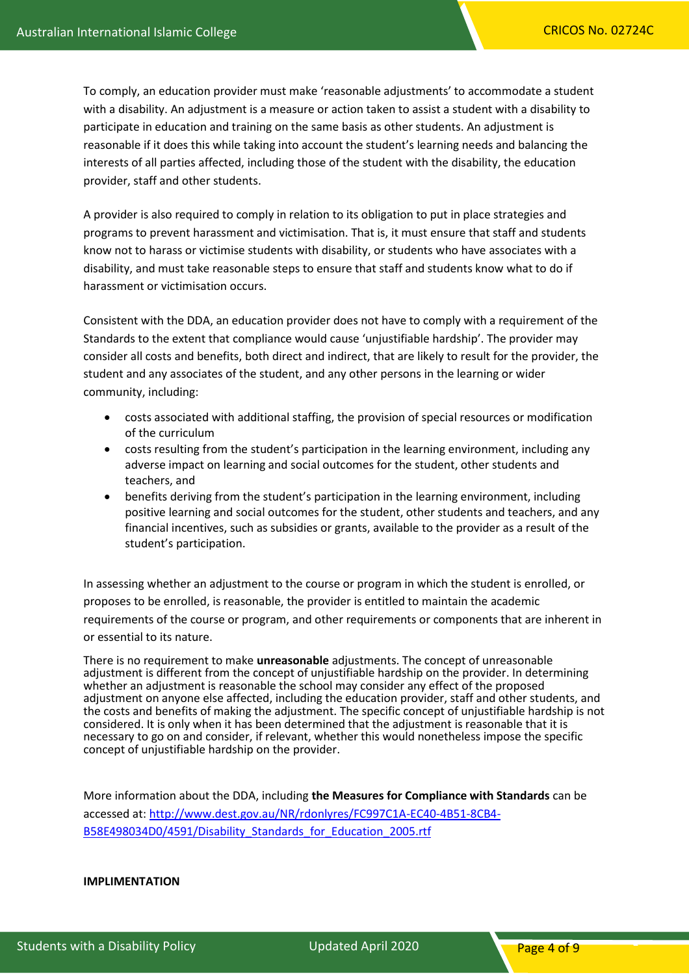To comply, an education provider must make 'reasonable adjustments' to accommodate a student with a disability. An adjustment is a measure or action taken to assist a student with a disability to participate in education and training on the same basis as other students. An adjustment is reasonable if it does this while taking into account the student's learning needs and balancing the interests of all parties affected, including those of the student with the disability, the education provider, staff and other students.

A provider is also required to comply in relation to its obligation to put in place strategies and programs to prevent harassment and victimisation. That is, it must ensure that staff and students know not to harass or victimise students with disability, or students who have associates with a disability, and must take reasonable steps to ensure that staff and students know what to do if harassment or victimisation occurs.

Consistent with the DDA, an education provider does not have to comply with a requirement of the Standards to the extent that compliance would cause 'unjustifiable hardship'. The provider may consider all costs and benefits, both direct and indirect, that are likely to result for the provider, the student and any associates of the student, and any other persons in the learning or wider community, including:

- costs associated with additional staffing, the provision of special resources or modification of the curriculum
- costs resulting from the student's participation in the learning environment, including any adverse impact on learning and social outcomes for the student, other students and teachers, and
- benefits deriving from the student's participation in the learning environment, including positive learning and social outcomes for the student, other students and teachers, and any financial incentives, such as subsidies or grants, available to the provider as a result of the student's participation.

In assessing whether an adjustment to the course or program in which the student is enrolled, or proposes to be enrolled, is reasonable, the provider is entitled to maintain the academic requirements of the course or program, and other requirements or components that are inherent in or essential to its nature.

There is no requirement to make **unreasonable** adjustments. The concept of unreasonable adjustment is different from the concept of unjustifiable hardship on the provider. In determining whether an adjustment is reasonable the school may consider any effect of the proposed adjustment on anyone else affected, including the education provider, staff and other students, and the costs and benefits of making the adjustment. The specific concept of unjustifiable hardship is not considered. It is only when it has been determined that the adjustment is reasonable that it is necessary to go on and consider, if relevant, whether this would nonetheless impose the specific concept of unjustifiable hardship on the provider.

More information about the DDA, including **the Measures for Compliance with Standards** can be accessed at: [http://www.dest.gov.au/NR/rdonlyres/FC997C1A-EC40-4B51-8CB4-](http://www.dest.gov.au/NR/rdonlyres/FC997C1A-EC40-4B51-8CB4-B58E498034D0/4591/Disability_Standards_for_Education_2005.rtf) B58E498034D0/4591/Disability Standards for Education 2005.rtf

**IMPLIMENTATION**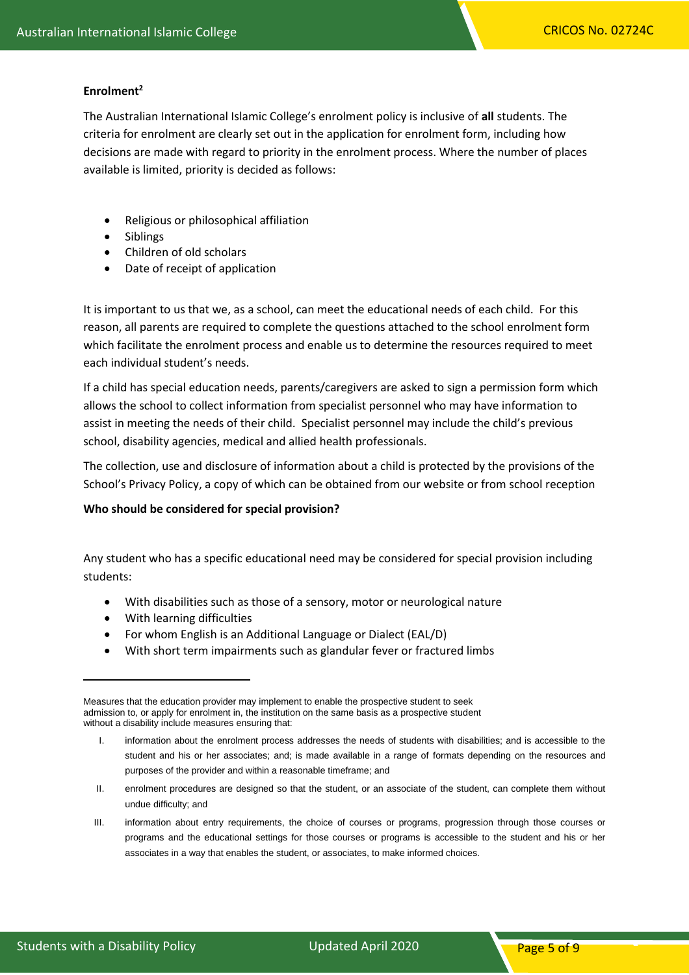#### **Enrolment<sup>2</sup>**

The Australian International Islamic College's enrolment policy is inclusive of **all** students. The criteria for enrolment are clearly set out in the application for enrolment form, including how decisions are made with regard to priority in the enrolment process. Where the number of places available is limited, priority is decided as follows:

- Religious or philosophical affiliation
- Siblings
- Children of old scholars
- Date of receipt of application

It is important to us that we, as a school, can meet the educational needs of each child. For this reason, all parents are required to complete the questions attached to the school enrolment form which facilitate the enrolment process and enable us to determine the resources required to meet each individual student's needs.

If a child has special education needs, parents/caregivers are asked to sign a permission form which allows the school to collect information from specialist personnel who may have information to assist in meeting the needs of their child. Specialist personnel may include the child's previous school, disability agencies, medical and allied health professionals.

The collection, use and disclosure of information about a child is protected by the provisions of the School's Privacy Policy, a copy of which can be obtained from our website or from school reception

#### **Who should be considered for special provision?**

Any student who has a specific educational need may be considered for special provision including students:

- With disabilities such as those of a sensory, motor or neurological nature
- With learning difficulties
- For whom English is an Additional Language or Dialect (EAL/D)
- With short term impairments such as glandular fever or fractured limbs

- II. enrolment procedures are designed so that the student, or an associate of the student, can complete them without undue difficulty; and
- III. information about entry requirements, the choice of courses or programs, progression through those courses or programs and the educational settings for those courses or programs is accessible to the student and his or her associates in a way that enables the student, or associates, to make informed choices.

Measures that the education provider may implement to enable the prospective student to seek admission to, or apply for enrolment in, the institution on the same basis as a prospective student without a disability include measures ensuring that:

I. information about the enrolment process addresses the needs of students with disabilities; and is accessible to the student and his or her associates; and; is made available in a range of formats depending on the resources and purposes of the provider and within a reasonable timeframe; and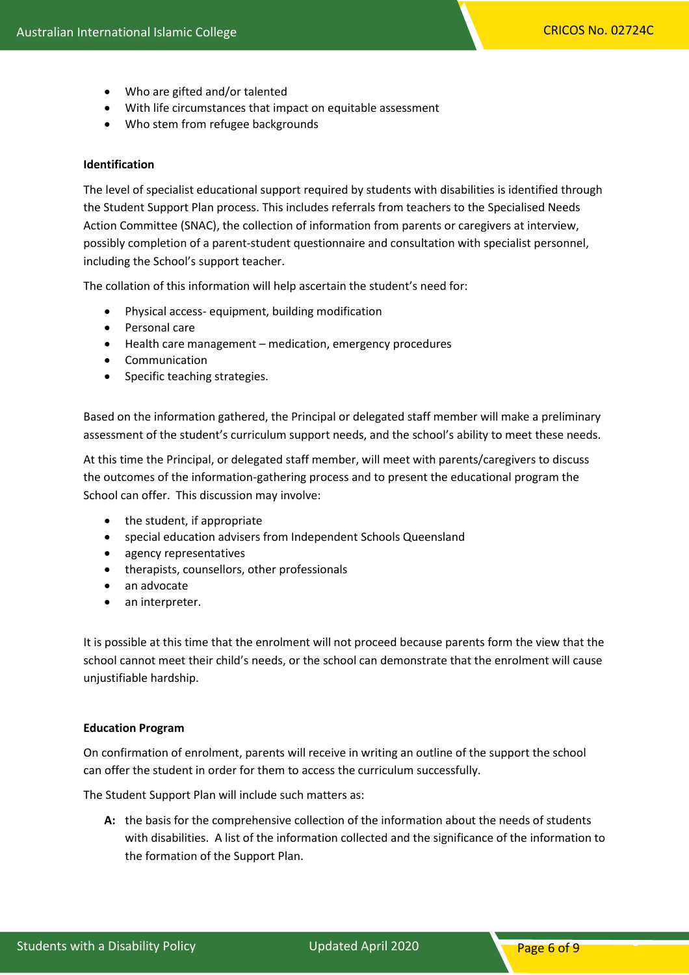- Who are gifted and/or talented
- With life circumstances that impact on equitable assessment
- Who stem from refugee backgrounds

## **Identification**

The level of specialist educational support required by students with disabilities is identified through the Student Support Plan process. This includes referrals from teachers to the Specialised Needs Action Committee (SNAC), the collection of information from parents or caregivers at interview, possibly completion of a parent-student questionnaire and consultation with specialist personnel, including the School's support teacher.

The collation of this information will help ascertain the student's need for:

- Physical access- equipment, building modification
- Personal care
- Health care management medication, emergency procedures
- Communication
- Specific teaching strategies.

Based on the information gathered, the Principal or delegated staff member will make a preliminary assessment of the student's curriculum support needs, and the school's ability to meet these needs.

At this time the Principal, or delegated staff member, will meet with parents/caregivers to discuss the outcomes of the information-gathering process and to present the educational program the School can offer. This discussion may involve:

- the student, if appropriate
- special education advisers from Independent Schools Queensland
- agency representatives
- therapists, counsellors, other professionals
- an advocate
- an interpreter.

It is possible at this time that the enrolment will not proceed because parents form the view that the school cannot meet their child's needs, or the school can demonstrate that the enrolment will cause unjustifiable hardship.

#### **Education Program**

On confirmation of enrolment, parents will receive in writing an outline of the support the school can offer the student in order for them to access the curriculum successfully.

The Student Support Plan will include such matters as:

**A:** the basis for the comprehensive collection of the information about the needs of students with disabilities. A list of the information collected and the significance of the information to the formation of the Support Plan.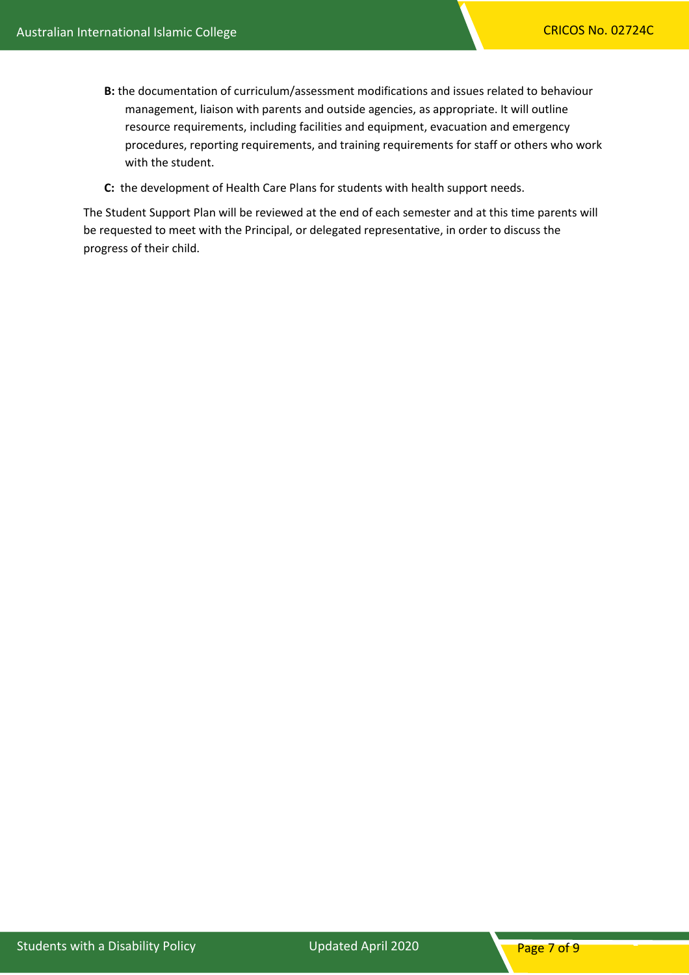- **B:** the documentation of curriculum/assessment modifications and issues related to behaviour management, liaison with parents and outside agencies, as appropriate. It will outline resource requirements, including facilities and equipment, evacuation and emergency procedures, reporting requirements, and training requirements for staff or others who work with the student.
- **C:** the development of Health Care Plans for students with health support needs.

The Student Support Plan will be reviewed at the end of each semester and at this time parents will be requested to meet with the Principal, or delegated representative, in order to discuss the progress of their child.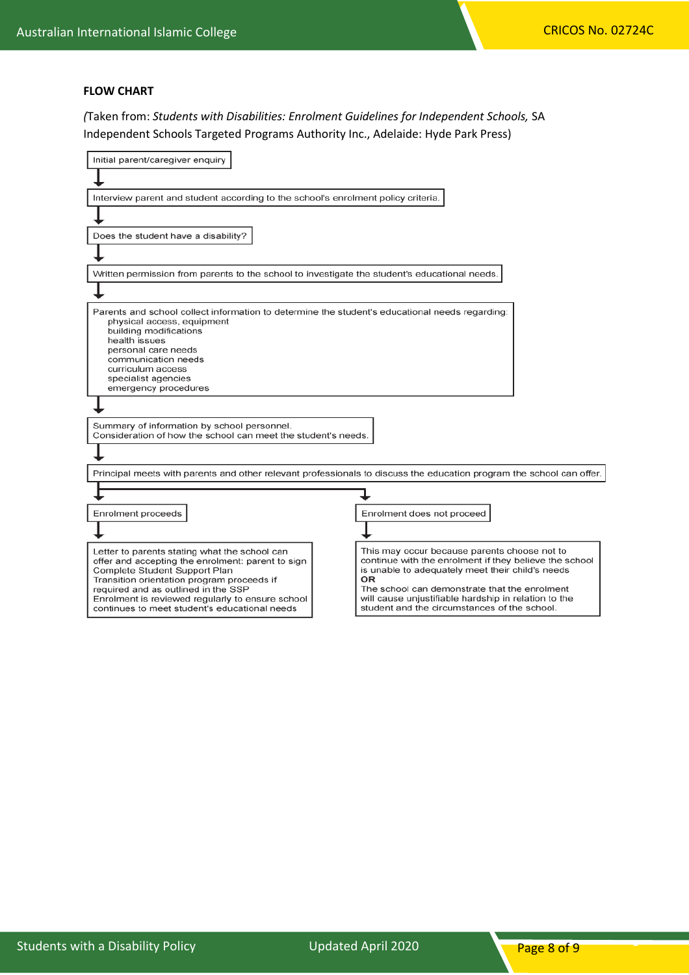## **FLOW CHART**

*(*Taken from: *Students with Disabilities: Enrolment Guidelines for Independent Schools,* SA Independent Schools Targeted Programs Authority Inc., Adelaide: Hyde Park Press)

| Initial parent/caregiver enquiry                                                                                                                                                                                                                                                                                              |                                                                                                                                                                                                                                                                                                                           |  |
|-------------------------------------------------------------------------------------------------------------------------------------------------------------------------------------------------------------------------------------------------------------------------------------------------------------------------------|---------------------------------------------------------------------------------------------------------------------------------------------------------------------------------------------------------------------------------------------------------------------------------------------------------------------------|--|
|                                                                                                                                                                                                                                                                                                                               |                                                                                                                                                                                                                                                                                                                           |  |
| Interview parent and student according to the school's enrolment policy criteria.                                                                                                                                                                                                                                             |                                                                                                                                                                                                                                                                                                                           |  |
|                                                                                                                                                                                                                                                                                                                               |                                                                                                                                                                                                                                                                                                                           |  |
| Does the student have a disability?                                                                                                                                                                                                                                                                                           |                                                                                                                                                                                                                                                                                                                           |  |
|                                                                                                                                                                                                                                                                                                                               |                                                                                                                                                                                                                                                                                                                           |  |
| Written permission from parents to the school to investigate the student's educational needs.                                                                                                                                                                                                                                 |                                                                                                                                                                                                                                                                                                                           |  |
|                                                                                                                                                                                                                                                                                                                               |                                                                                                                                                                                                                                                                                                                           |  |
| Parents and school collect information to determine the student's educational needs regarding:<br>physical access, equipment<br>building modifications<br>health issues<br>personal care needs<br>communication needs<br>curriculum access<br>specialist agencies<br>emergency procedures                                     |                                                                                                                                                                                                                                                                                                                           |  |
| Summary of information by school personnel.                                                                                                                                                                                                                                                                                   |                                                                                                                                                                                                                                                                                                                           |  |
| Consideration of how the school can meet the student's needs.                                                                                                                                                                                                                                                                 |                                                                                                                                                                                                                                                                                                                           |  |
|                                                                                                                                                                                                                                                                                                                               |                                                                                                                                                                                                                                                                                                                           |  |
| Principal meets with parents and other relevant professionals to discuss the education program the school can offer.                                                                                                                                                                                                          |                                                                                                                                                                                                                                                                                                                           |  |
|                                                                                                                                                                                                                                                                                                                               |                                                                                                                                                                                                                                                                                                                           |  |
| Enrolment proceeds                                                                                                                                                                                                                                                                                                            | Enrolment does not proceed                                                                                                                                                                                                                                                                                                |  |
|                                                                                                                                                                                                                                                                                                                               |                                                                                                                                                                                                                                                                                                                           |  |
| Letter to parents stating what the school can<br>offer and accepting the enrolment: parent to sign<br>Complete Student Support Plan<br>Transition orientation program proceeds if<br>required and as outlined in the SSP<br>Enrolment is reviewed regularly to ensure school<br>continues to meet student's educational needs | This may occur because parents choose not to<br>continue with the enrolment if they believe the school<br>is unable to adequately meet their child's needs<br>OR<br>The school can demonstrate that the enrolment<br>will cause unjustifiable hardship in relation to the<br>student and the circumstances of the school. |  |